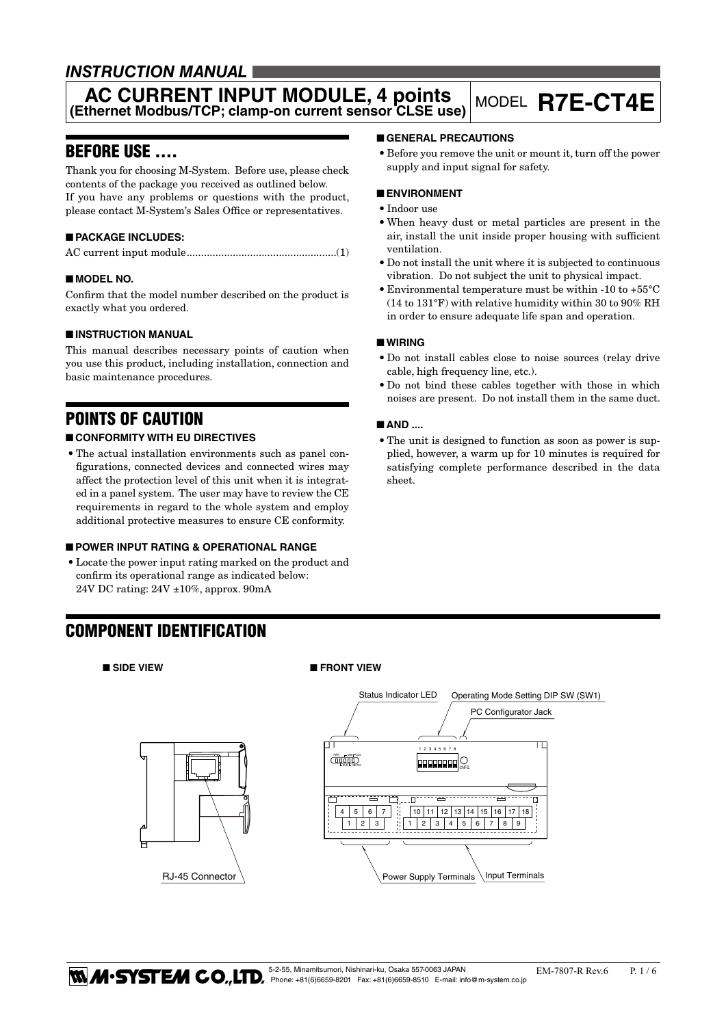# *INSTRUCTION MANUAL*

# **AC CURRENT INPUT MODULE, 4 points (Ethernet Modbus/TCP; clamp-on current sensor CLSE use)** MODEL **R7E-CT4E**

# BEFORE USE ....

Thank you for choosing M-System. Before use, please check contents of the package you received as outlined below. If you have any problems or questions with the product, please contact M-System's Sales Office or representatives.

# ■ **PACKAGE INCLUDES:**

|--|--|

# ■ **MODEL NO.**

Confirm that the model number described on the product is exactly what you ordered.

# ■ **INSTRUCTION MANUAL**

This manual describes necessary points of caution when you use this product, including installation, connection and basic maintenance procedures.

# POINTS OF CAUTION

# ■ **CONFORMITY WITH EU DIRECTIVES**

• The actual installation environments such as panel configurations, connected devices and connected wires may affect the protection level of this unit when it is integrated in a panel system. The user may have to review the CE requirements in regard to the whole system and employ additional protective measures to ensure CE conformity.

# ■ **POWER INPUT RATING & OPERATIONAL RANGE**

• Locate the power input rating marked on the product and confirm its operational range as indicated below: 24V DC rating: 24V ±10%, approx. 90mA

RJ-45 Connector

# ■ **GENERAL PRECAUTIONS**

• Before you remove the unit or mount it, turn off the power supply and input signal for safety.

### ■ **ENVIRONMENT**

- • Indoor use
- When heavy dust or metal particles are present in the air, install the unit inside proper housing with sufficient ventilation.
- Do not install the unit where it is subjected to continuous vibration. Do not subject the unit to physical impact.
- Environmental temperature must be within -10 to  $+55^{\circ}$ C (14 to 131°F) with relative humidity within 30 to 90% RH in order to ensure adequate life span and operation.

# ■ **WIRING**

- • Do not install cables close to noise sources (relay drive cable, high frequency line, etc.).
- • Do not bind these cables together with those in which noises are present. Do not install them in the same duct.

# ■ **AND** ....

• The unit is designed to function as soon as power is supplied, however, a warm up for 10 minutes is required for satisfying complete performance described in the data sheet.

# COMPONENT IDENTIFICATION

#### ■ SIDE VIEW ■ FRONT VIEW

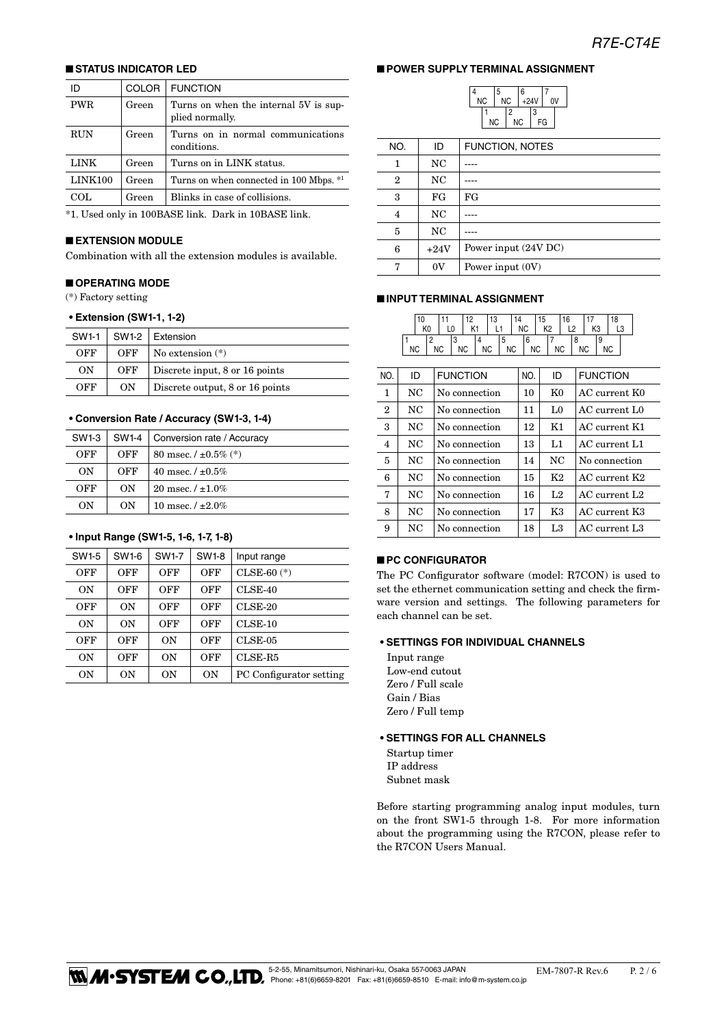# ■ **STATUS INDICATOR LED**

| ID         | <b>COLOR</b> | <b>FUNCTION</b>                                          |
|------------|--------------|----------------------------------------------------------|
| <b>PWR</b> | Green        | Turns on when the internal 5V is sup-<br>plied normally. |
| <b>RUN</b> | Green        | Turns on in normal communications<br>conditions.         |
| LINK       | Green        | Turns on in LINK status.                                 |
| LINK100    | Green        | Turns on when connected in 100 Mbps. *1                  |
| COL.       | Green        | Blinks in case of collisions.                            |
|            |              |                                                          |

\*1. Used only in 100BASE link. Dark in 10BASE link.

### ■ **EXTENSION MODULE**

Combination with all the extension modules is available.

#### ■ **OPERATING MODE**

(\*) Factory setting

#### **• Extension (SW1-1, 1-2)**

| SW1-1 | SW1-2 | Extension                       |  |
|-------|-------|---------------------------------|--|
| OFF   | OFF   | No extension $(*)$              |  |
| OΝ    | OFF   | Discrete input, 8 or 16 points  |  |
| OFF   | ON    | Discrete output, 8 or 16 points |  |

#### **• Conversion Rate / Accuracy (SW1-3, 1-4)**

| SW1-3 | SW1-4 | Conversion rate / Accuracy |
|-------|-------|----------------------------|
| OFF   | OFF   | 80 msec. $/ \pm 0.5\%$ (*) |
| ON    | OFF   | 40 msec. $/ \pm 0.5\%$     |
| OFF   | ON    | 20 msec. $/ \pm 1.0\%$     |
| OΝ    | OΝ    | 10 msec. $/ \pm 2.0\%$     |

# **• Input Range (SW1-5, 1-6, 1-7, 1-8)**

| SW1-5 | SW1-6 | SW1-7 | SW1-8          | Input range             |
|-------|-------|-------|----------------|-------------------------|
| OFF   | OFF   | OFF   | OFF            | $CLSE-60$ $(*)$         |
| OΝ    | OFF   | OFF   | OFF            | $CLSE-40$               |
| OFF   | ON    | OFF   | OFF            | $CLSE-20$               |
| ON    | ON    | OFF   | OFF            | $CLSE-10$               |
| OFF   | OFF   | ON    | OFF            | $CLSE-05$               |
| ON    | OFF   | ON    | OFF            | $CLSE-R5$               |
| ON    | 0N    | ON    | 0 <sub>N</sub> | PC Configurator setting |

### ■ **POWER SUPPLY TERMINAL ASSIGNMENT**

4

|    | 5         |    | 6      |    |    |  |
|----|-----------|----|--------|----|----|--|
| ΝC | <b>NC</b> |    | $+24V$ |    | ٥V |  |
|    |           | 2  |        | 3  |    |  |
| ΝC |           | ΝC |        | FG |    |  |

| NO.            | ID      | <b>FUNCTION, NOTES</b> |
|----------------|---------|------------------------|
| 1              | NC      |                        |
| $\overline{2}$ | NC      |                        |
| 3              | FG      | FG                     |
| $\overline{4}$ | NC      |                        |
| 5              | NC      |                        |
| 6              | $+24V$  | Power input (24V DC)   |
| π,             | $_{0V}$ | Power input (0V)       |

#### ■ **INPUT TERMINAL ASSIGNMENT**

|              | 10<br>K <sub>0</sub>             | 11<br>12 <sup>2</sup><br>L0<br>K1 | 13<br>L1            | 14        | <b>NC</b>      | 15<br>K <sub>2</sub> | 16<br>L2  | 17<br>K <sub>3</sub> |          | 18<br>L <sub>3</sub>      |
|--------------|----------------------------------|-----------------------------------|---------------------|-----------|----------------|----------------------|-----------|----------------------|----------|---------------------------|
|              | 1<br>$\overline{2}$<br><b>NC</b> | 3<br><b>NC</b><br>NC.             | 4<br>5<br><b>NC</b> | <b>NC</b> | 6<br><b>NC</b> | $\overline{7}$       | <b>NC</b> | 8<br><b>NC</b>       | 9<br>NC. |                           |
| NO.          | ID                               | <b>FUNCTION</b>                   |                     |           | NO.            | ID                   |           |                      |          | <b>FUNCTION</b>           |
| 1            | NC                               | No connection                     |                     |           | 10             | K <sub>0</sub>       |           |                      |          | AC current K0             |
| $\mathbf{2}$ | NC                               | No connection                     |                     |           | 11             | L0                   |           |                      |          | $AC$ current $L0$         |
| 3            | NC                               | No connection                     |                     |           | 12             | K1                   |           |                      |          | AC current K1             |
| 4            | NC                               |                                   | No connection       |           |                | L1                   |           |                      |          | AC current L1             |
| 5            | NC                               |                                   | No connection       |           |                | NC                   |           |                      |          | No connection             |
| 6            | NC                               | No connection                     |                     |           | 15             | K2                   |           |                      |          | $AC$ current $K2$         |
| 7            | NC                               | No connection                     |                     |           | 16             | L <sub>2</sub>       |           |                      |          | AC current L <sub>2</sub> |
| 8            | NC                               | No connection                     |                     |           | 17             | K3                   |           |                      |          | AC current K3             |
| 9            | NC                               | No connection                     |                     |           | 18             | L <sub>3</sub>       |           |                      |          | AC current L <sub>3</sub> |

### ■ **PC CONFIGURATOR**

The PC Configurator software (model: R7CON) is used to set the ethernet communication setting and check the firmware version and settings. The following parameters for each channel can be set.

#### **• SETTINGS FOR INDIVIDUAL CHANNELS**

Input range Low-end cutout Zero / Full scale Gain / Bias Zero / Full temp

#### **• SETTINGS FOR ALL CHANNELS**

Startup timer IP address Subnet mask

Before starting programming analog input modules, turn on the front SW1-5 through 1-8. For more information about the programming using the R7CON, please refer to the R7CON Users Manual.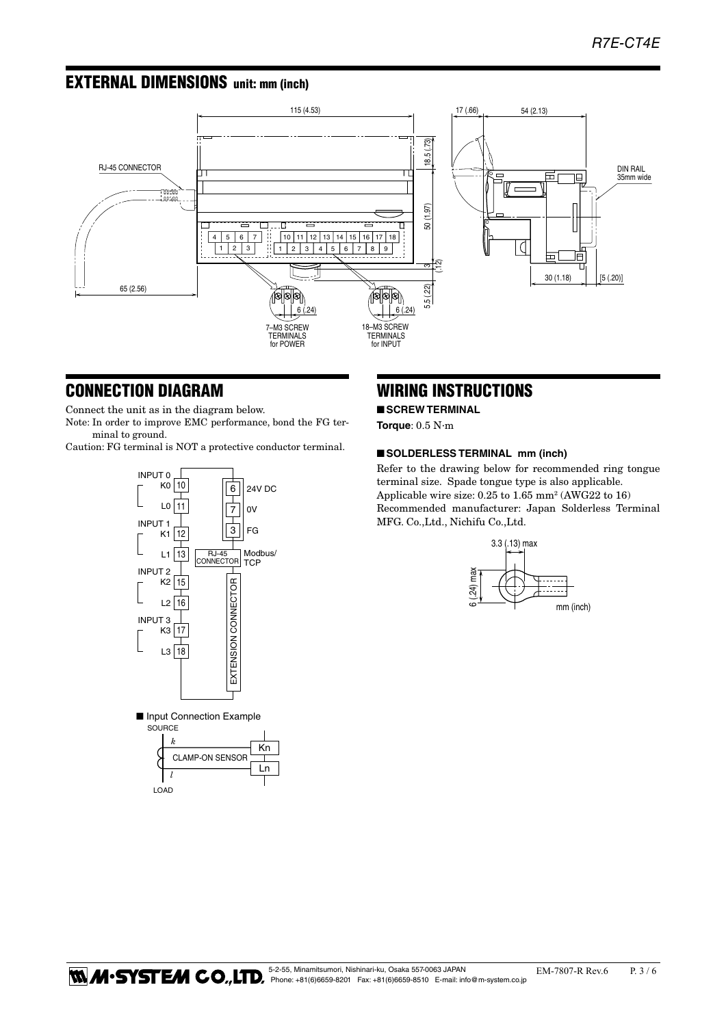# EXTERNAL DIMENSIONS unit: mm (inch)



# CONNECTION DIAGRAM

Connect the unit as in the diagram below.

Note: In order to improve EMC performance, bond the FG terminal to ground.

Caution: FG terminal is NOT a protective conductor terminal.



# WIRING INSTRUCTIONS

# ■ **SCREW TERMINAL**

**Torque**: 0.5 N·m

### ■ **SOLDERLESS TERMINAL** mm (inch)

Refer to the drawing below for recommended ring tongue terminal size. Spade tongue type is also applicable. Applicable wire size: 0.25 to 1.65 mm2 (AWG22 to 16) Recommended manufacturer: Japan Solderless Terminal MFG. Co.,Ltd., Nichifu Co.,Ltd.



5-2-55, Minamitsumori, Nishinari-ku, Osaka 557-0063 JAPAN [Cames] EM-7807-R Rev.6 P. 3 / 6<br>Phone: +81(6)6659-8201 Fax: +81(6)6659-8510 E-mail: info@m-system.co.jp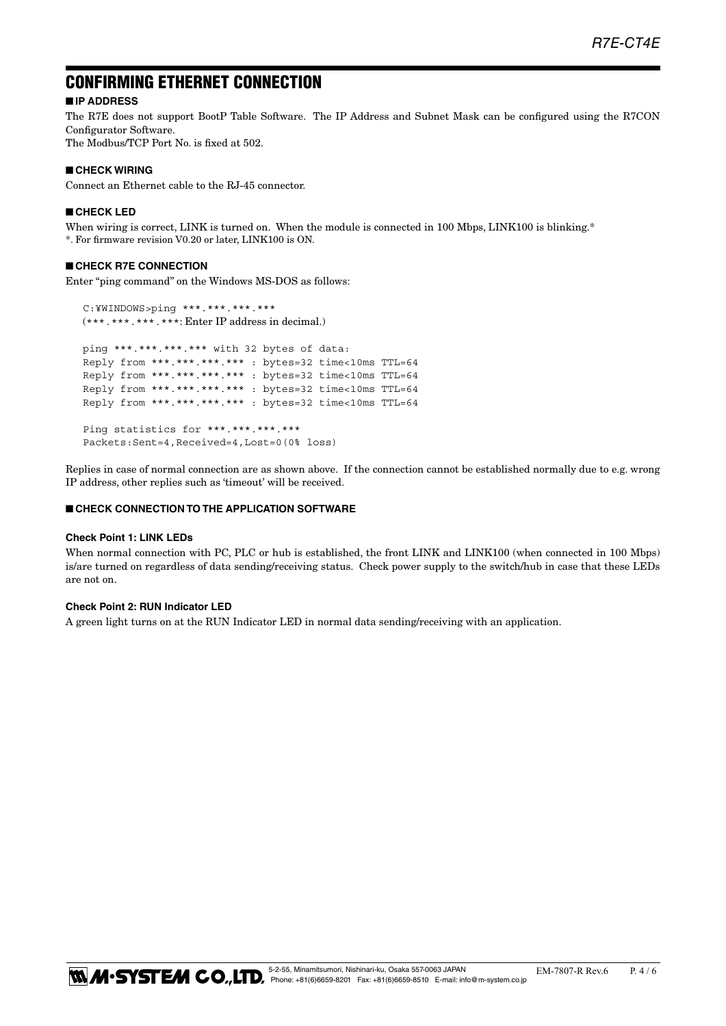# CONFIRMING ETHERNET CONNECTION

# ■ **IP ADDRESS**

The R7E does not support BootP Table Software. The IP Address and Subnet Mask can be configured using the R7CON Configurator Software.

The Modbus/TCP Port No. is fixed at 502.

# ■ **CHECK WIRING**

Connect an Ethernet cable to the RJ-45 connector.

#### ■ **CHECK LED**

When wiring is correct, LINK is turned on. When the module is connected in 100 Mbps, LINK100 is blinking.\* \*. For firmware revision V0.20 or later, LINK100 is ON.

# ■ **CHECK R7E CONNECTION**

Enter "ping command" on the Windows MS-DOS as follows:

 C:¥WINDOWS>ping \*\*\*.\*\*\*.\*\*\*.\*\*\* (\*\*\*.\*\*\*.\*\*\*.\*\*\*: Enter IP address in decimal.) ping \*\*\*.\*\*\*.\*\*\*.\*\*\* with 32 bytes of data: Reply from \*\*\*.\*\*\*.\*\*\*.\*\*\* : bytes=32 time<10ms TTL=64 Reply from \*\*\*.\*\*\*.\*\*\*.\*\*\* : bytes=32 time<10ms TTL=64 Reply from \*\*\*.\*\*\*.\*\*\*.\*\*\* : bytes=32 time<10ms TTL=64 Reply from \*\*\*.\*\*\*.\*\*\*.\*\*\* : bytes=32 time<10ms TTL=64 Ping statistics for \*\*\*.\*\*\*.\*\*\*.\*\*\*

Packets:Sent=4,Received=4,Lost=0(0% loss)

Replies in case of normal connection are as shown above. If the connection cannot be established normally due to e.g. wrong IP address, other replies such as 'timeout' will be received.

#### ■ **CHECK CONNECTION TO THE APPLICATION SOFTWARE**

#### **Check Point 1: LINK LEDs**

When normal connection with PC, PLC or hub is established, the front LINK and LINK100 (when connected in 100 Mbps) is/are turned on regardless of data sending/receiving status. Check power supply to the switch/hub in case that these LEDs are not on.

# **Check Point 2: RUN Indicator LED**

A green light turns on at the RUN Indicator LED in normal data sending/receiving with an application.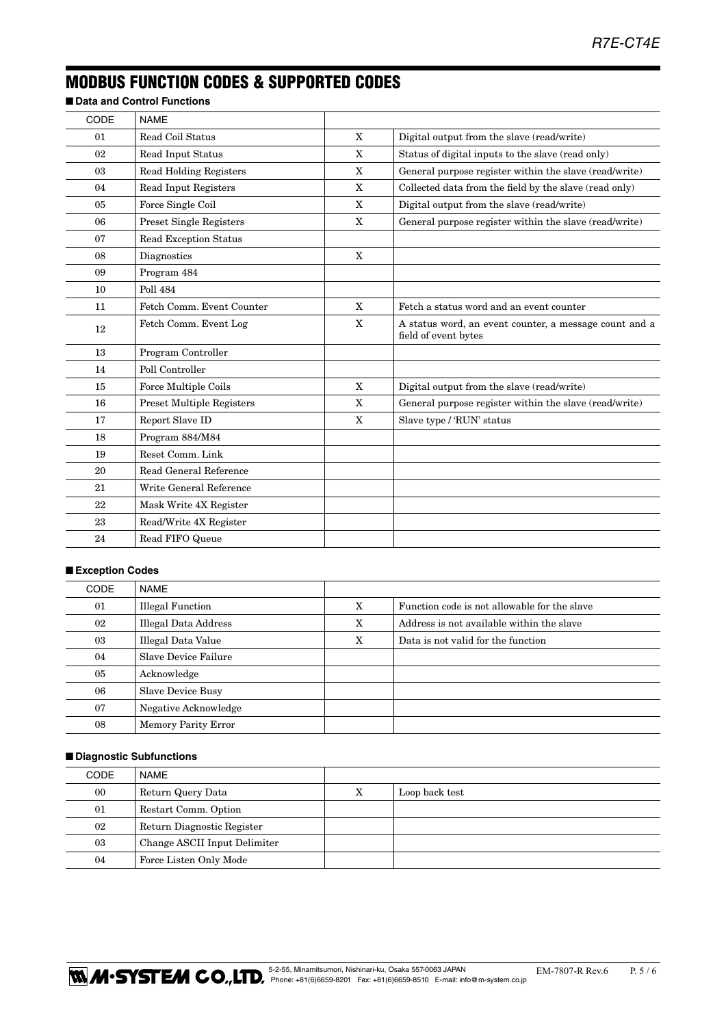# MODBUS FUNCTION CODES & SUPPORTED CODES

■ **Data and Control Functions** 

| CODE | <b>NAME</b>                      |             |                                                                                |
|------|----------------------------------|-------------|--------------------------------------------------------------------------------|
| 01   | Read Coil Status                 | $\mathbf X$ | Digital output from the slave (read/write)                                     |
| 02   | Read Input Status                | X           | Status of digital inputs to the slave (read only)                              |
| 03   | <b>Read Holding Registers</b>    | X           | General purpose register within the slave (read/write)                         |
| 04   | Read Input Registers             | X           | Collected data from the field by the slave (read only)                         |
| 05   | Force Single Coil                | X           | Digital output from the slave (read/write)                                     |
| 06   | Preset Single Registers          | X           | General purpose register within the slave (read/write)                         |
| 07   | <b>Read Exception Status</b>     |             |                                                                                |
| 08   | Diagnostics                      | X           |                                                                                |
| 09   | Program 484                      |             |                                                                                |
| 10   | <b>Poll 484</b>                  |             |                                                                                |
| 11   | Fetch Comm. Event Counter        | X           | Fetch a status word and an event counter                                       |
| 12   | Fetch Comm. Event Log            | X           | A status word, an event counter, a message count and a<br>field of event bytes |
| 13   | Program Controller               |             |                                                                                |
| 14   | Poll Controller                  |             |                                                                                |
| 15   | Force Multiple Coils             | $\mathbf X$ | Digital output from the slave (read/write)                                     |
| 16   | <b>Preset Multiple Registers</b> | X           | General purpose register within the slave (read/write)                         |
| 17   | Report Slave ID                  | X           | Slave type / 'RUN' status                                                      |
| 18   | Program 884/M84                  |             |                                                                                |
| 19   | Reset Comm. Link                 |             |                                                                                |
| 20   | Read General Reference           |             |                                                                                |
| 21   | Write General Reference          |             |                                                                                |
| 22   | Mask Write 4X Register           |             |                                                                                |
| 23   | Read/Write 4X Register           |             |                                                                                |
| 24   | Read FIFO Queue                  |             |                                                                                |
|      |                                  |             |                                                                                |

# ■ **Exception Codes**

| <b>CODE</b> | NAME                       |   |                                              |
|-------------|----------------------------|---|----------------------------------------------|
| 01          | <b>Illegal Function</b>    | X | Function code is not allowable for the slave |
| 02          | Illegal Data Address       | X | Address is not available within the slave    |
| 03          | Illegal Data Value         | X | Data is not valid for the function           |
| 04          | Slave Device Failure       |   |                                              |
| 05          | Acknowledge                |   |                                              |
| 06          | <b>Slave Device Busy</b>   |   |                                              |
| 07          | Negative Acknowledge       |   |                                              |
| 08          | <b>Memory Parity Error</b> |   |                                              |

### ■ **Diagnostic Subfunctions**

| CODE | NAME                         |   |                |
|------|------------------------------|---|----------------|
| 00   | Return Query Data            | X | Loop back test |
| 01   | Restart Comm. Option         |   |                |
| 02   | Return Diagnostic Register   |   |                |
| 03   | Change ASCII Input Delimiter |   |                |
| 04   | Force Listen Only Mode       |   |                |